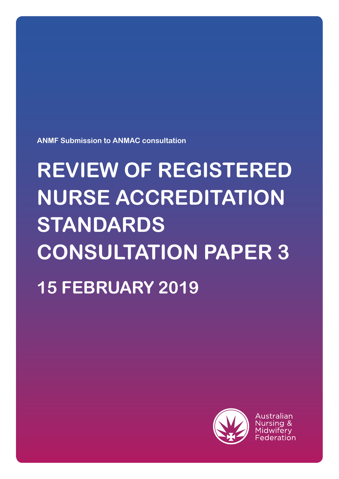**ANMF Submission to ANMAC consultation**

# **REVIEW OF REGISTERED NURSE ACCREDITATION STANDARDS CONSULTATION PAPER 3 15 FEBRUARY 2019**



Australian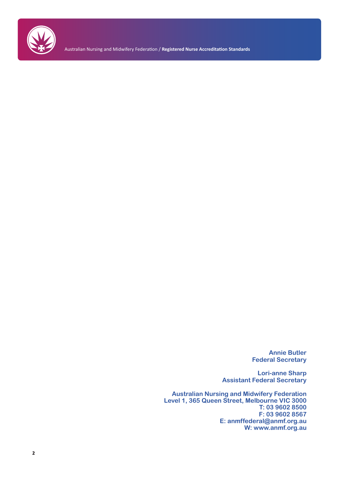

Australian Nursing and Midwifery Federation / **Registered Nurse Accreditation Standards**

**Annie Butler Federal Secretary**

**Lori-anne Sharp Assistant Federal Secretary**

**Australian Nursing and Midwifery Federation Level 1, 365 Queen Street, Melbourne VIC 3000 T: 03 9602 8500 F: 03 9602 8567 E: anmffederal@anmf.org.au W: www.anmf.org.au**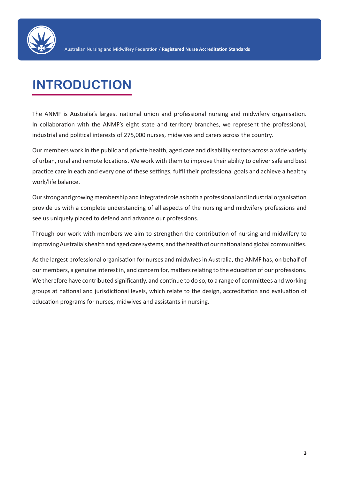

# **INTRODUCTION**

The ANMF is Australia's largest national union and professional nursing and midwifery organisation. In collaboration with the ANMF's eight state and territory branches, we represent the professional, industrial and political interests of 275,000 nurses, midwives and carers across the country.

Our members work in the public and private health, aged care and disability sectors across a wide variety of urban, rural and remote locations. We work with them to improve their ability to deliver safe and best practice care in each and every one of these settings, fulfil their professional goals and achieve a healthy work/life balance.

Our strong and growing membership and integrated role as both a professional and industrial organisation provide us with a complete understanding of all aspects of the nursing and midwifery professions and see us uniquely placed to defend and advance our professions.

Through our work with members we aim to strengthen the contribution of nursing and midwifery to improving Australia's health and aged care systems, and the health of our national and global communities.

As the largest professional organisation for nurses and midwives in Australia, the ANMF has, on behalf of our members, a genuine interest in, and concern for, matters relating to the education of our professions. We therefore have contributed significantly, and continue to do so, to a range of committees and working groups at national and jurisdictional levels, which relate to the design, accreditation and evaluation of education programs for nurses, midwives and assistants in nursing.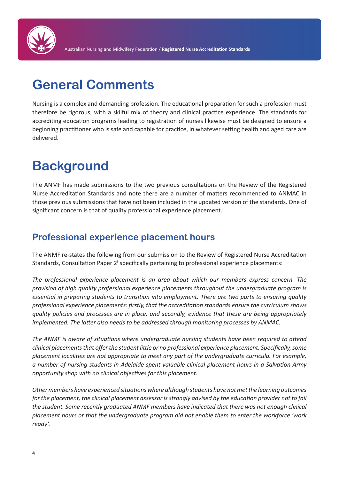

# **General Comments**

Nursing is a complex and demanding profession. The educational preparation for such a profession must therefore be rigorous, with a skilful mix of theory and clinical practice experience. The standards for accrediting education programs leading to registration of nurses likewise must be designed to ensure a beginning practitioner who is safe and capable for practice, in whatever setting health and aged care are delivered.

# **Background**

The ANMF has made submissions to the two previous consultations on the Review of the Registered Nurse Accreditation Standards and note there are a number of matters recommended to ANMAC in those previous submissions that have not been included in the updated version of the standards. One of significant concern is that of quality professional experience placement.

## **Professional experience placement hours**

The ANMF re-states the following from our submission to the Review of Registered Nurse Accreditation Standards, Consultation Paper 2i specifically pertaining to professional experience placements:

*The professional experience placement is an area about which our members express concern. The provision of high quality professional experience placements throughout the undergraduate program is essential in preparing students to transition into employment. There are two parts to ensuring quality professional experience placements: firstly, that the accreditation standards ensure the curriculum shows quality policies and processes are in place, and secondly, evidence that these are being appropriately implemented. The latter also needs to be addressed through monitoring processes by ANMAC.* 

*The ANMF is aware of situations where undergraduate nursing students have been required to attend clinical placements that offer the student little or no professional experience placement. Specifically, some placement localities are not appropriate to meet any part of the undergraduate curricula. For example, a number of nursing students in Adelaide spent valuable clinical placement hours in a Salvation Army opportunity shop with no clinical objectives for this placement.* 

*Other members have experienced situations where although students have not met the learning outcomes for the placement, the clinical placement assessor is strongly advised by the education provider not to fail the student. Some recently graduated ANMF members have indicated that there was not enough clinical placement hours or that the undergraduate program did not enable them to enter the workforce 'work ready'.*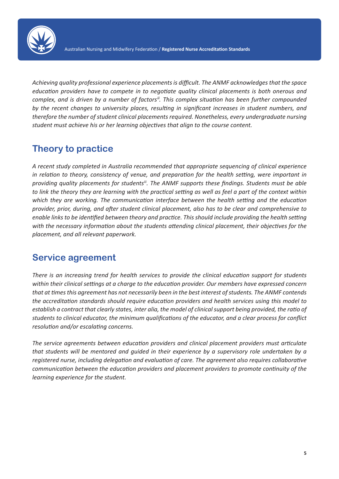

*Achieving quality professional experience placements is difficult. The ANMF acknowledges that the space education providers have to compete in to negotiate quality clinical placements is both onerous and complex, and is driven by a number of factorsii. This complex situation has been further compounded by the recent changes to university places, resulting in significant increases in student numbers, and therefore the number of student clinical placements required. Nonetheless, every undergraduate nursing student must achieve his or her learning objectives that align to the course content.* 

## **Theory to practice**

*A recent study completed in Australia recommended that appropriate sequencing of clinical experience in relation to theory, consistency of venue, and preparation for the health setting, were important in providing quality placements for studentsiii. The ANMF supports these findings. Students must be able to link the theory they are learning with the practical setting as well as feel a part of the context within which they are working. The communication interface between the health setting and the education provider, prior, during, and after student clinical placement, also has to be clear and comprehensive to enable links to be identified between theory and practice. This should include providing the health setting with the necessary information about the students attending clinical placement, their objectives for the placement, and all relevant paperwork.* 

#### **Service agreement**

*There is an increasing trend for health services to provide the clinical education support for students within their clinical settings at a charge to the education provider. Our members have expressed concern that at times this agreement has not necessarily been in the best interest of students. The ANMF contends the accreditation standards should require education providers and health services using this model to establish a contract that clearly states, inter alia, the model of clinical support being provided, the ratio of students to clinical educator, the minimum qualifications of the educator, and a clear process for conflict resolution and/or escalating concerns.* 

*The service agreements between education providers and clinical placement providers must articulate that students will be mentored and guided in their experience by a supervisory role undertaken by a registered nurse, including delegation and evaluation of care. The agreement also requires collaborative communication between the education providers and placement providers to promote continuity of the learning experience for the student.*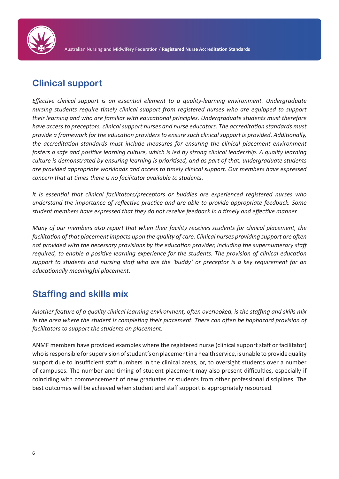

### **Clinical support**

*Effective clinical support is an essential element to a quality-learning environment. Undergraduate nursing students require timely clinical support from registered nurses who are equipped to support their learning and who are familiar with educational principles. Undergraduate students must therefore have access to preceptors, clinical support nurses and nurse educators. The accreditation standards must provide a framework for the education providers to ensure such clinical support is provided. Additionally, the accreditation standards must include measures for ensuring the clinical placement environment fosters a safe and positive learning culture, which is led by strong clinical leadership. A quality learning culture is demonstrated by ensuring learning is prioritised, and as part of that, undergraduate students are provided appropriate workloads and access to timely clinical support. Our members have expressed concern that at times there is no facilitator available to students.* 

*It is essential that clinical facilitators/preceptors or buddies are experienced registered nurses who understand the importance of reflective practice and are able to provide appropriate feedback. Some student members have expressed that they do not receive feedback in a timely and effective manner.* 

*Many of our members also report that when their facility receives students for clinical placement, the facilitation of that placement impacts upon the quality of care. Clinical nurses providing support are often not provided with the necessary provisions by the education provider, including the supernumerary staff required, to enable a positive learning experience for the students. The provision of clinical education support to students and nursing staff who are the 'buddy' or preceptor is a key requirement for an educationally meaningful placement.*

## **Staffing and skills mix**

*Another feature of a quality clinical learning environment, often overlooked, is the staffing and skills mix in the area where the student is completing their placement. There can often be haphazard provision of facilitators to support the students on placement.* 

ANMF members have provided examples where the registered nurse (clinical support staff or facilitator) who is responsible for supervision of student's on placement in a health service, is unable to provide quality support due to insufficient staff numbers in the clinical areas, or, to oversight students over a number of campuses. The number and timing of student placement may also present difficulties, especially if coinciding with commencement of new graduates or students from other professional disciplines. The best outcomes will be achieved when student and staff support is appropriately resourced.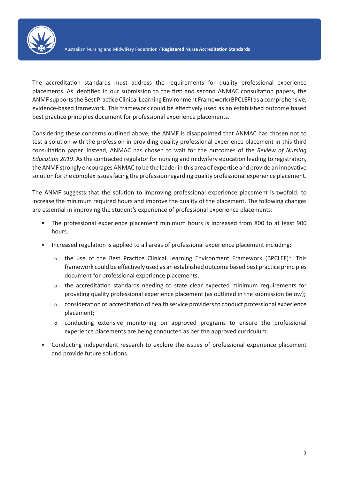

The accreditation standards must address the requirements for quality professional experience placements. As identified in our submission to the first and second ANMAC consultation papers, the ANMF supports the Best Practice Clinical Learning Environment Framework (BPCLEF) as a comprehensive, evidence-based framework. This framework could be effectively used as an established outcome based best practice principles document for professional experience placements.

Considering these concerns outlined above, the ANMF is disappointed that ANMAC has chosen not to test a solution with the profession in providing quality professional experience placement in this third consultation paper. Instead, ANMAC has chosen to wait for the outcomes of the *Review of Nursing Education 2019*. As the contracted regulator for nursing and midwifery education leading to registration, the ANMF strongly encourages ANMAC to be the leader in this area of expertise and provide an innovative solution for the complex issues facing the profession regarding quality professional experience placement.

The ANMF suggests that the solution to improving professional experience placement is twofold: to increase the minimum required hours and improve the quality of the placement. The following changes are essential in improving the student's experience of professional experience placements:

- The professional experience placement minimum hours is increased from 800 to at least 900 hours.
- Increased regulation is applied to all areas of professional experience placement including:
	- o the use of the Best Practice Clinical Learning Environment Framework (BPCLEF)<sup>iv</sup>. This framework could be effectively used as an established outcome based best practice principles document for professional experience placements;
	- o the accreditation standards needing to state clear expected minimum requirements for providing quality professional experience placement (as outlined in the submission below);
	- o consideration of accreditation of health service providers to conduct professional experience placement;
	- o conducting extensive monitoring on approved programs to ensure the professional experience placements are being conducted as per the approved curriculum.
- Conducting independent research to explore the issues of professional experience placement and provide future solutions.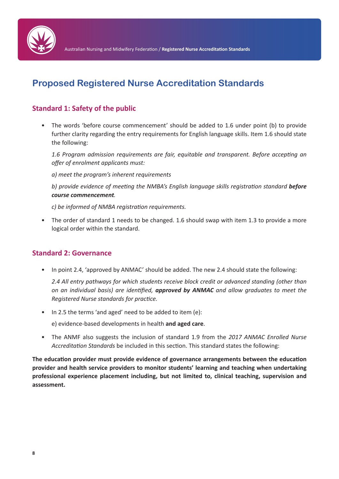

## **Proposed Registered Nurse Accreditation Standards**

#### **Standard 1: Safety of the public**

• The words 'before course commencement' should be added to 1.6 under point (b) to provide further clarity regarding the entry requirements for English language skills. Item 1.6 should state the following:

*1.6 Program admission requirements are fair, equitable and transparent. Before accepting an offer of enrolment applicants must:*

*a) meet the program's inherent requirements*

*b) provide evidence of meeting the NMBA's English language skills registration standard before course commencement.*

*c) be informed of NMBA registration requirements.*

• The order of standard 1 needs to be changed. 1.6 should swap with item 1.3 to provide a more logical order within the standard.

#### **Standard 2: Governance**

• In point 2.4, 'approved by ANMAC' should be added. The new 2.4 should state the following:

*2.4 All entry pathways for which students receive block credit or advanced standing (other than on an individual basis) are identified, approved by ANMAC and allow graduates to meet the Registered Nurse standards for practice.*

• In 2.5 the terms 'and aged' need to be added to item (e):

e) evidence-based developments in health **and aged care**.

• The ANMF also suggests the inclusion of standard 1.9 from the *2017 ANMAC Enrolled Nurse Accreditation Standards* be included in this section. This standard states the following:

**The education provider must provide evidence of governance arrangements between the education provider and health service providers to monitor students' learning and teaching when undertaking professional experience placement including, but not limited to, clinical teaching, supervision and assessment.**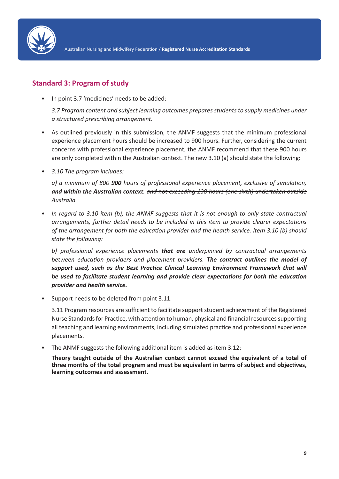

#### **Standard 3: Program of study**

• In point 3.7 'medicines' needs to be added:

*3.7 Program content and subject learning outcomes prepares students to supply medicines under a structured prescribing arrangement.* 

- As outlined previously in this submission, the ANMF suggests that the minimum professional experience placement hours should be increased to 900 hours. Further, considering the current concerns with professional experience placement, the ANMF recommend that these 900 hours are only completed within the Australian context. The new 3.10 (a) should state the following:
- *• 3.10 The program includes:*

*a) a minimum of 800 900 hours of professional experience placement, exclusive of simulation, and within the Australian context. and not exceeding 130 hours (one sixth) undertaken outside Australia*

*• In regard to 3.10 item (b), the ANMF suggests that it is not enough to only state contractual arrangements, further detail needs to be included in this item to provide clearer expectations of the arrangement for both the education provider and the health service. Item 3.10 (b) should state the following:*

*b) professional experience placements that are underpinned by contractual arrangements between education providers and placement providers. The contract outlines the model of support used, such as the Best Practice Clinical Learning Environment Framework that will be used to facilitate student learning and provide clear expectations for both the education provider and health service.* 

• Support needs to be deleted from point 3.11.

3.11 Program resources are sufficient to facilitate support student achievement of the Registered Nurse Standards for Practice, with attention to human, physical and financial resources supporting all teaching and learning environments, including simulated practice and professional experience placements.

• The ANMF suggests the following additional item is added as item 3.12:

**Theory taught outside of the Australian context cannot exceed the equivalent of a total of three months of the total program and must be equivalent in terms of subject and objectives, learning outcomes and assessment.**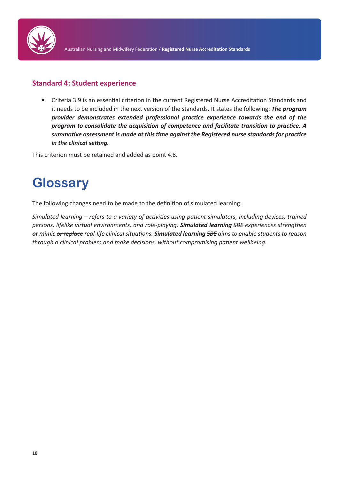

#### **Standard 4: Student experience**

• Criteria 3.9 is an essential criterion in the current Registered Nurse Accreditation Standards and it needs to be included in the next version of the standards. It states the following: *The program provider demonstrates extended professional practice experience towards the end of the program to consolidate the acquisition of competence and facilitate transition to practice. A summative assessment is made at this time against the Registered nurse standards for practice in the clinical setting.* 

This criterion must be retained and added as point 4.8.

## **Glossary**

The following changes need to be made to the definition of simulated learning:

*Simulated learning – refers to a variety of activities using patient simulators, including devices, trained persons, lifelike virtual environments, and role-playing. Simulated learning SBE experiences strengthen or mimic or replace real-life clinical situations. Simulated learning SBE aims to enable students to reason through a clinical problem and make decisions, without compromising patient wellbeing.*